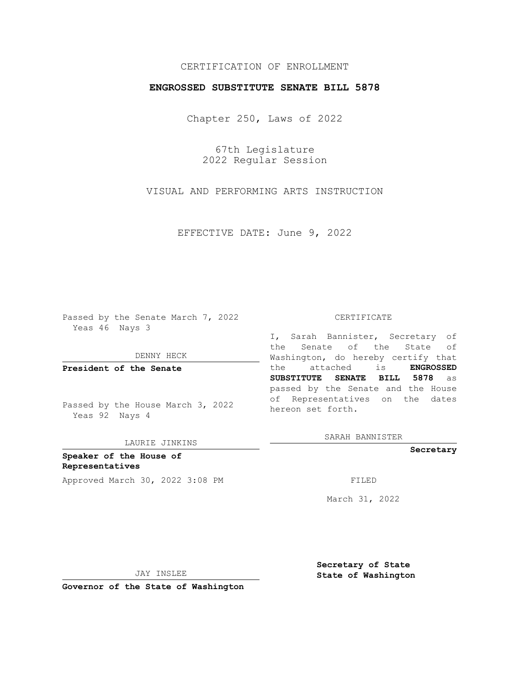## CERTIFICATION OF ENROLLMENT

## **ENGROSSED SUBSTITUTE SENATE BILL 5878**

Chapter 250, Laws of 2022

67th Legislature 2022 Regular Session

VISUAL AND PERFORMING ARTS INSTRUCTION

EFFECTIVE DATE: June 9, 2022

Passed by the Senate March 7, 2022 Yeas 46 Nays 3

DENNY HECK

**President of the Senate**

Passed by the House March 3, 2022 Yeas 92 Nays 4

LAURIE JINKINS

**Speaker of the House of Representatives** Approved March 30, 2022 3:08 PM

#### CERTIFICATE

I, Sarah Bannister, Secretary of the Senate of the State of Washington, do hereby certify that the attached is **ENGROSSED SUBSTITUTE SENATE BILL 5878** as passed by the Senate and the House of Representatives on the dates hereon set forth.

SARAH BANNISTER

**Secretary**

March 31, 2022

JAY INSLEE

**Secretary of State State of Washington**

**Governor of the State of Washington**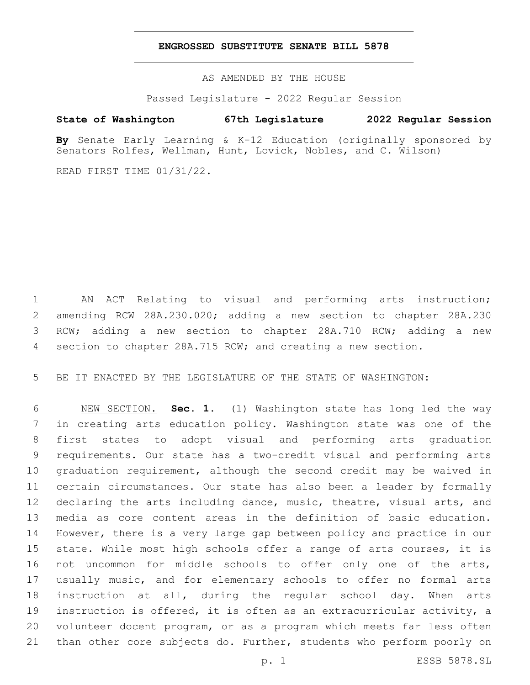### **ENGROSSED SUBSTITUTE SENATE BILL 5878**

AS AMENDED BY THE HOUSE

Passed Legislature - 2022 Regular Session

# **State of Washington 67th Legislature 2022 Regular Session**

**By** Senate Early Learning & K-12 Education (originally sponsored by Senators Rolfes, Wellman, Hunt, Lovick, Nobles, and C. Wilson)

READ FIRST TIME 01/31/22.

 AN ACT Relating to visual and performing arts instruction; amending RCW 28A.230.020; adding a new section to chapter 28A.230 RCW; adding a new section to chapter 28A.710 RCW; adding a new section to chapter 28A.715 RCW; and creating a new section.

BE IT ENACTED BY THE LEGISLATURE OF THE STATE OF WASHINGTON:

 NEW SECTION. **Sec. 1.** (1) Washington state has long led the way in creating arts education policy. Washington state was one of the first states to adopt visual and performing arts graduation requirements. Our state has a two-credit visual and performing arts graduation requirement, although the second credit may be waived in certain circumstances. Our state has also been a leader by formally declaring the arts including dance, music, theatre, visual arts, and media as core content areas in the definition of basic education. However, there is a very large gap between policy and practice in our state. While most high schools offer a range of arts courses, it is not uncommon for middle schools to offer only one of the arts, usually music, and for elementary schools to offer no formal arts instruction at all, during the regular school day. When arts instruction is offered, it is often as an extracurricular activity, a volunteer docent program, or as a program which meets far less often 21 than other core subjects do. Further, students who perform poorly on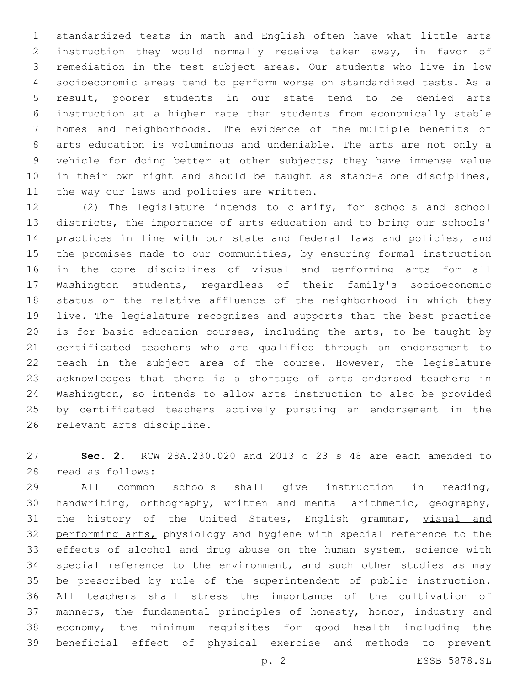standardized tests in math and English often have what little arts instruction they would normally receive taken away, in favor of remediation in the test subject areas. Our students who live in low socioeconomic areas tend to perform worse on standardized tests. As a result, poorer students in our state tend to be denied arts instruction at a higher rate than students from economically stable homes and neighborhoods. The evidence of the multiple benefits of arts education is voluminous and undeniable. The arts are not only a vehicle for doing better at other subjects; they have immense value in their own right and should be taught as stand-alone disciplines, 11 the way our laws and policies are written.

 (2) The legislature intends to clarify, for schools and school districts, the importance of arts education and to bring our schools' practices in line with our state and federal laws and policies, and the promises made to our communities, by ensuring formal instruction in the core disciplines of visual and performing arts for all Washington students, regardless of their family's socioeconomic status or the relative affluence of the neighborhood in which they live. The legislature recognizes and supports that the best practice is for basic education courses, including the arts, to be taught by certificated teachers who are qualified through an endorsement to teach in the subject area of the course. However, the legislature acknowledges that there is a shortage of arts endorsed teachers in Washington, so intends to allow arts instruction to also be provided by certificated teachers actively pursuing an endorsement in the 26 relevant arts discipline.

 **Sec. 2.** RCW 28A.230.020 and 2013 c 23 s 48 are each amended to 28 read as follows:

 All common schools shall give instruction in reading, handwriting, orthography, written and mental arithmetic, geography, 31 the history of the United States, English grammar, visual and 32 performing arts, physiology and hygiene with special reference to the effects of alcohol and drug abuse on the human system, science with special reference to the environment, and such other studies as may be prescribed by rule of the superintendent of public instruction. All teachers shall stress the importance of the cultivation of manners, the fundamental principles of honesty, honor, industry and economy, the minimum requisites for good health including the beneficial effect of physical exercise and methods to prevent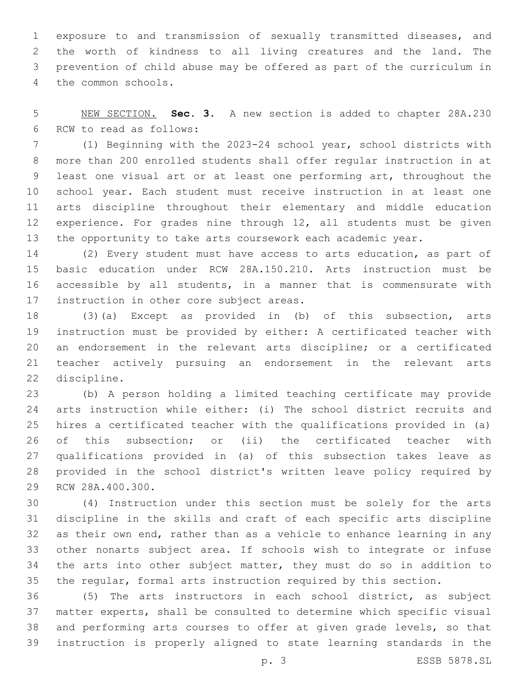exposure to and transmission of sexually transmitted diseases, and the worth of kindness to all living creatures and the land. The prevention of child abuse may be offered as part of the curriculum in 4 the common schools.

 NEW SECTION. **Sec. 3.** A new section is added to chapter 28A.230 6 RCW to read as follows:

 (1) Beginning with the 2023-24 school year, school districts with more than 200 enrolled students shall offer regular instruction in at least one visual art or at least one performing art, throughout the school year. Each student must receive instruction in at least one arts discipline throughout their elementary and middle education experience. For grades nine through 12, all students must be given the opportunity to take arts coursework each academic year.

 (2) Every student must have access to arts education, as part of basic education under RCW 28A.150.210. Arts instruction must be accessible by all students, in a manner that is commensurate with 17 instruction in other core subject areas.

 (3)(a) Except as provided in (b) of this subsection, arts instruction must be provided by either: A certificated teacher with an endorsement in the relevant arts discipline; or a certificated teacher actively pursuing an endorsement in the relevant arts 22 discipline.

 (b) A person holding a limited teaching certificate may provide arts instruction while either: (i) The school district recruits and hires a certificated teacher with the qualifications provided in (a) of this subsection; or (ii) the certificated teacher with qualifications provided in (a) of this subsection takes leave as provided in the school district's written leave policy required by 29 RCW 28A.400.300.

 (4) Instruction under this section must be solely for the arts discipline in the skills and craft of each specific arts discipline as their own end, rather than as a vehicle to enhance learning in any other nonarts subject area. If schools wish to integrate or infuse the arts into other subject matter, they must do so in addition to the regular, formal arts instruction required by this section.

 (5) The arts instructors in each school district, as subject matter experts, shall be consulted to determine which specific visual and performing arts courses to offer at given grade levels, so that instruction is properly aligned to state learning standards in the